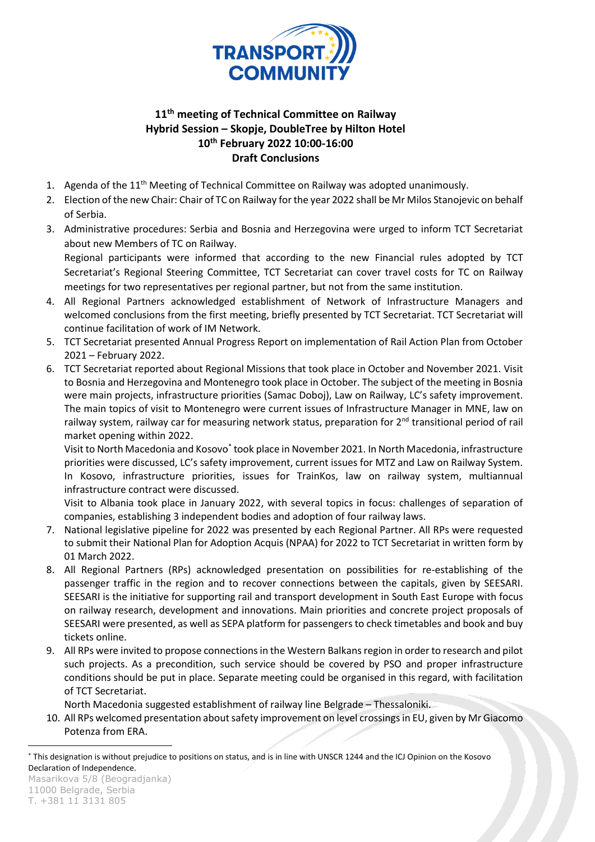

## **11 th meeting of Technical Committee on Railway Hybrid Session – Skopje, DoubleTree by Hilton Hotel 10th February 2022 10:00-16:00 Draft Conclusions**

- 1. Agenda of the 11<sup>th</sup> Meeting of Technical Committee on Railway was adopted unanimously.
- 2. Election of the new Chair: Chair of TC on Railway for the year 2022 shall be Mr Milos Stanojevic on behalf of Serbia.
- 3. Administrative procedures: Serbia and Bosnia and Herzegovina were urged to inform TCT Secretariat about new Members of TC on Railway. Regional participants were informed that according to the new Financial rules adopted by TCT

Secretariat's Regional Steering Committee, TCT Secretariat can cover travel costs for TC on Railway meetings for two representatives per regional partner, but not from the same institution.

- 4. All Regional Partners acknowledged establishment of Network of Infrastructure Managers and welcomed conclusions from the first meeting, briefly presented by TCT Secretariat. TCT Secretariat will continue facilitation of work of IM Network.
- 5. TCT Secretariat presented Annual Progress Report on implementation of Rail Action Plan from October 2021 – February 2022.
- 6. TCT Secretariat reported about Regional Missions that took place in October and November 2021. Visit to Bosnia and Herzegovina and Montenegro took place in October. The subject of the meeting in Bosnia were main projects, infrastructure priorities (Samac Doboj), Law on Railway, LC's safety improvement. The main topics of visit to Montenegro were current issues of Infrastructure Manager in MNE, law on railway system, railway car for measuring network status, preparation for 2<sup>nd</sup> transitional period of rail market opening within 2022.

Visit to North Macedonia and Kosovo<sup>\*</sup> took place in November 2021. In North Macedonia, infrastructure priorities were discussed, LC's safety improvement, current issues for MTZ and Law on Railway System. In Kosovo, infrastructure priorities, issues for TrainKos, law on railway system, multiannual infrastructure contract were discussed.

Visit to Albania took place in January 2022, with several topics in focus: challenges of separation of companies, establishing 3 independent bodies and adoption of four railway laws.

- 7. National legislative pipeline for 2022 was presented by each Regional Partner. All RPs were requested to submit their National Plan for Adoption Acquis (NPAA) for 2022 to TCT Secretariat in written form by 01 March 2022.
- 8. All Regional Partners (RPs) acknowledged presentation on possibilities for re-establishing of the passenger traffic in the region and to recover connections between the capitals, given by SEESARI. SEESARI is the initiative for supporting rail and transport development in South East Europe with focus on railway research, development and innovations. Main priorities and concrete project proposals of SEESARI were presented, as well as SEPA platform for passengers to check timetables and book and buy tickets online.
- 9. All RPs were invited to propose connections in the Western Balkans region in order to research and pilot such projects. As a precondition, such service should be covered by PSO and proper infrastructure conditions should be put in place. Separate meeting could be organised in this regard, with facilitation of TCT Secretariat.

North Macedonia suggested establishment of railway line Belgrade – Thessaloniki.

10. All RPs welcomed presentation about safety improvement on level crossingsin EU, given by Mr Giacomo Potenza from ERA.

<sup>\*</sup> This designation is without prejudice to positions on status, and is in line with UNSCR 1244 and the ICJ Opinion on the Kosovo Declaration of Independence.